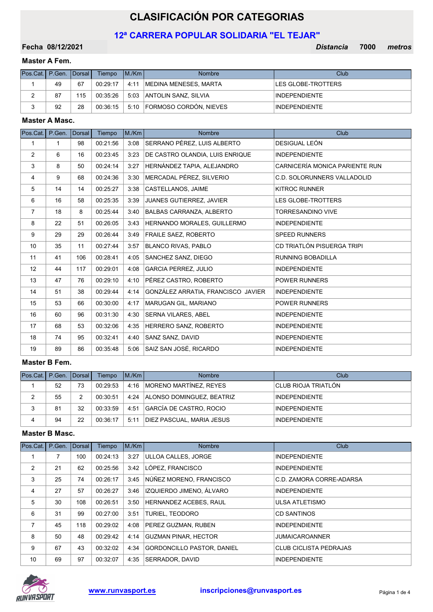# CLASIFICACIÓN POR CATEGORIAS

# 12ª CARRERA POPULAR SOLIDARIA "EL TEJAR"

08/12/2021 Distancia 7000 Fecha metros

# Master A Fem.

| Pos.Cat.   P.Gen.   Dorsal |    |     | Tiempo   | IM/Km | <b>Nombre</b>               | <b>Club</b>          |
|----------------------------|----|-----|----------|-------|-----------------------------|----------------------|
|                            | 49 | 67  | 00:29:17 | 4:11  | IMEDINA MENESES. MARTA      | LES GLOBE-TROTTERS   |
| <u>.</u>                   | 87 | 115 | 00:35:26 |       | 5:03 ANTOLIN SANZ, SILVIA   | <b>INDEPENDIENTE</b> |
|                            | 92 | 28  | 00:36:15 |       | 5:10 FORMOSO CORDÓN, NIEVES | <b>INDEPENDIENTE</b> |

#### Master A Masc.

| Pos.Cat. P.Gen.   |              | <b>Dorsal</b> | Tiempo   | M./Km | <b>Nombre</b>                      | Club                               |
|-------------------|--------------|---------------|----------|-------|------------------------------------|------------------------------------|
| $\mathbf{1}$      | $\mathbf{1}$ | 98            | 00:21:56 | 3:08  | SERRANO PÉREZ, LUIS ALBERTO        | DESIGUAL LEÓN                      |
| 2                 | 6            | 16            | 00:23:45 | 3:23  | DE CASTRO OLANDIA, LUIS ENRIQUE    | <b>INDEPENDIENTE</b>               |
| 3                 | 8            | 50            | 00:24:14 | 3:27  | HERNÁNDEZ TAPIA, ALEJANDRO         | CARNICERÍA MONICA PARIENTE RUN     |
| 4                 | 9            | 68            | 00:24:36 | 3:30  | MERCADAL PÉREZ, SILVERIO           | <b>C.D. SOLORUNNERS VALLADOLID</b> |
| 5                 | 14           | 14            | 00:25:27 | 3:38  | CASTELLANOS, JAIME                 | <b>KITROC RUNNER</b>               |
| 6                 | 16           | 58            | 00:25:35 | 3:39  | <b>JUANES GUTIERREZ, JAVIER</b>    | <b>LES GLOBE-TROTTERS</b>          |
| $\overline{7}$    | 18           | 8             | 00:25:44 | 3:40  | BALBAS CARRANZA, ALBERTO           | <b>TORRESANDINO VIVE</b>           |
| 8                 | 22           | 51            | 00:26:05 | 3:43  | HERNANDO MORALES, GUILLERMO        | <b>INDEPENDIENTE</b>               |
| 9                 | 29           | 29            | 00:26:44 | 3:49  | <b>FRAILE SAEZ, ROBERTO</b>        | <b>SPEED RUNNERS</b>               |
| 10                | 35           | 11            | 00:27:44 | 3:57  | BLANCO RIVAS, PABLO                | CD TRIATLÓN PISUERGA TRIPI         |
| 11                | 41           | 106           | 00:28:41 | 4:05  | SANCHEZ SANZ, DIEGO                | RUNNING BOBADILLA                  |
| $12 \overline{ }$ | 44           | 117           | 00:29:01 | 4:08  | <b>GARCIA PERREZ, JULIO</b>        | <b>INDEPENDIENTE</b>               |
| 13                | 47           | 76            | 00:29:10 | 4:10  | PÉREZ CASTRO, ROBERTO              | <b>POWER RUNNERS</b>               |
| 14                | 51           | 38            | 00:29:44 | 4:14  | GONZÁLEZ ARRATIA, FRANCISCO JAVIER | <b>INDEPENDIENTE</b>               |
| 15                | 53           | 66            | 00:30:00 | 4:17  | MARUGAN GIL, MARIANO               | <b>POWER RUNNERS</b>               |
| 16                | 60           | 96            | 00:31:30 | 4:30  | <b>SERNA VILARES, ABEL</b>         | <b>INDEPENDIENTE</b>               |
| 17                | 68           | 53            | 00:32:06 | 4:35  | HERRERO SANZ, ROBERTO              | <b>INDEPENDIENTE</b>               |
| 18                | 74           | 95            | 00:32:41 | 4:40  | SANZ SANZ, DAVID                   | <b>INDEPENDIENTE</b>               |
| 19                | 89           | 86            | 00:35:48 | 5:06  | SAIZ SAN JOSÉ, RICARDO             | <b>INDEPENDIENTE</b>               |

# Master B Fem.

| Pos Cat.   P. Gen.   Dorsal |    |    | Tiempo   | IM/Km | <b>Nombre</b>                  | Club                        |
|-----------------------------|----|----|----------|-------|--------------------------------|-----------------------------|
|                             | 52 | 73 | 00:29:53 |       | 4:16   MORENO MARTÍNEZ, REYES  | <b>ICLUB RIOJA TRIATLÓN</b> |
| 2                           | 55 |    | 00:30:51 |       | 4:24 ALONSO DOMINGUEZ, BEATRIZ | <b>INDEPENDIENTE</b>        |
| 3                           | 81 | 32 | 00:33:59 | 4:51  | GARCÍA DE CASTRO, ROCIO        | <b>INDEPENDIENTE</b>        |
| 4                           | 94 | 22 | 00:36:17 | 5:11  | DIEZ PASCUAL, MARIA JESUS      | <b>INDEPENDIENTE</b>        |

# Master B Masc.

| Pos.Cat. | P.Gen. | Dorsal | <b>Tiempo</b> | M/Km | <b>Nombre</b>               | Club                          |
|----------|--------|--------|---------------|------|-----------------------------|-------------------------------|
|          |        | 100    | 00:24:13      | 3:27 | ULLOA CALLES, JORGE         | <b>INDEPENDIENTE</b>          |
| 2        | 21     | 62     | 00:25:56      | 3:42 | LÓPEZ. FRANCISCO            | <b>INDEPENDIENTE</b>          |
| 3        | 25     | 74     | 00:26:17      | 3:45 | NÚÑEZ MORENO, FRANCISCO     | C.D. ZAMORA CORRE-ADARSA      |
| 4        | 27     | 57     | 00:26:27      | 3:46 | IZQUIERDO JIMENO, ÁLVARO    | <b>INDEPENDIENTE</b>          |
| 5        | 30     | 108    | 00:26:51      | 3:50 | HERNANDEZ ACEBES, RAUL      | <b>ULSA ATLETISMO</b>         |
| 6        | 31     | 99     | 00:27:00      | 3:51 | <b>TURIEL. TEODORO</b>      | <b>CD SANTINOS</b>            |
| 7        | 45     | 118    | 00:29:02      | 4:08 | <b>PEREZ GUZMAN, RUBEN</b>  | <b>INDEPENDIENTE</b>          |
| 8        | 50     | 48     | 00:29:42      | 4:14 | <b>GUZMAN PINAR, HECTOR</b> | <b>JUMAICAROANNER</b>         |
| 9        | 67     | 43     | 00:32:02      | 4:34 | GORDONCILLO PASTOR, DANIEL  | <b>CLUB CICLISTA PEDRAJAS</b> |
| 10       | 69     | 97     | 00:32:07      | 4:35 | SERRADOR, DAVID             | <b>INDEPENDIENTE</b>          |

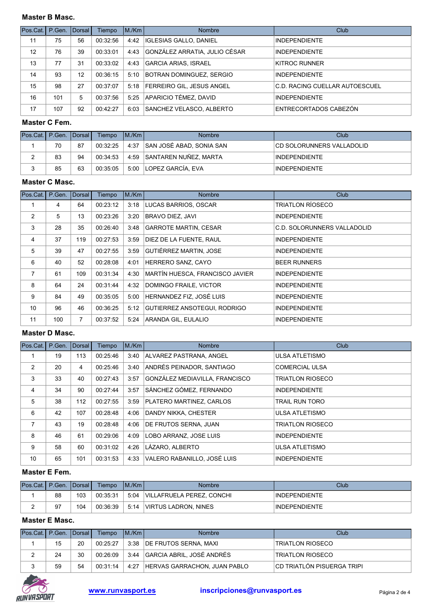# Master B Masc.

| Pos.Cat. P.Gen. Dorsal |     |    | Tiempo   | IM/Km | <b>Nombre</b>                    | Club                           |
|------------------------|-----|----|----------|-------|----------------------------------|--------------------------------|
| 11                     | 75  | 56 | 00:32:56 | 4:42  | <b>IGLESIAS GALLO, DANIEL</b>    | <b>INDEPENDIENTE</b>           |
| 12                     | 76  | 39 | 00:33:01 | 4:43  | GONZÁLEZ ARRATIA, JULIO CÉSAR    | <b>INDEPENDIENTE</b>           |
| 13                     | 77  | 31 | 00:33:02 | 4:43  | GARCIA ARIAS, ISRAEL             | KITROC RUNNER                  |
| 14                     | 93  | 12 | 00:36:15 | 5:10  | BOTRAN DOMINGUEZ, SERGIO         | <b>INDEPENDIENTE</b>           |
| 15                     | 98  | 27 | 00:37:07 |       | 5:18   FERREIRO GIL, JESUS ANGEL | C.D. RACING CUELLAR AUTOESCUEL |
| 16                     | 101 | 5  | 00:37:56 | 5.25  | APARICIO TÉMEZ. DAVID            | <b>INDEPENDIENTE</b>           |
| 17                     | 107 | 92 | 00:42:27 | 6:03  | SANCHEZ VELASCO, ALBERTO         | ENTRECORTADOS CABEZÓN          |

## Master C Fem.

| Pos.Cat.   P.Gen.   Dorsal |    |    | Tiempo   | IM/Km | <b>Nombre</b>                 | Club                       |
|----------------------------|----|----|----------|-------|-------------------------------|----------------------------|
|                            | 70 | 87 | 00:32:25 |       | 4:37 SAN JOSÉ ABAD. SONIA SAN | ICD SOLORUNNERS VALLADOLID |
| _                          | 83 | 94 | 00:34:53 |       | 4:59 SANTAREN NUÑEZ, MARTA    | <b>INDEPENDIENTE</b>       |
|                            | 85 | 63 | 00:35:05 |       | 5:00 LOPEZ GARCÍA. EVA        | <b>INDEPENDIENTE</b>       |

# Master C Masc.

| Pos.Cat. | P.Gen. | <b>IDorsal</b> | Tiempo   | IM/Km | <b>Nombre</b>                   | Club                        |
|----------|--------|----------------|----------|-------|---------------------------------|-----------------------------|
|          | 4      | 64             | 00:23:12 | 3:18  | LUCAS BARRIOS, OSCAR            | <b>TRIATLON RÍOSECO</b>     |
| 2        | 5      | 13             | 00:23:26 | 3:20  | BRAVO DIEZ. JAVI                | <b>INDEPENDIENTE</b>        |
| 3        | 28     | 35             | 00:26:40 | 3:48  | <b>GARROTE MARTIN, CESAR</b>    | C.D. SOLORUNNERS VALLADOLID |
| 4        | 37     | 119            | 00:27:53 | 3:59  | DIEZ DE LA FUENTE, RAUL         | <b>INDEPENDIENTE</b>        |
| 5        | 39     | 47             | 00:27:55 | 3:59  | <b>GUTIÉRREZ MARTIN, JOSE</b>   | <b>INDEPENDIENTE</b>        |
| 6        | 40     | 52             | 00:28:08 | 4:01  | HERRERO SANZ, CAYO              | <b>BEER RUNNERS</b>         |
| 7        | 61     | 109            | 00:31:34 | 4:30  | MARTÍN HUESCA, FRANCISCO JAVIER | <b>INDEPENDIENTE</b>        |
| 8        | 64     | 24             | 00:31:44 | 4:32  | DOMINGO FRAILE, VICTOR          | <b>INDEPENDIENTE</b>        |
| 9        | 84     | 49             | 00:35:05 | 5:00  | HERNANDEZ FIZ, JOSÉ LUIS        | <b>INDEPENDIENTE</b>        |
| 10       | 96     | 46             | 00:36:25 | 5:12  | GUTIERREZ ANSOTEGUI, RODRIGO    | <b>INDEPENDIENTE</b>        |
| 11       | 100    | 7              | 00:37:52 | 5:24  | ARANDA GIL, EULALIO             | <b>INDEPENDIENTE</b>        |

# Master D Masc.

| Pos.Cat.       | P.Gen. | Dorsal | Tiempo   | M/Km | <b>Nombre</b>                  | Club                    |
|----------------|--------|--------|----------|------|--------------------------------|-------------------------|
|                | 19     | 113    | 00:25:46 | 3:40 | ALVAREZ PASTRANA, ANGEL        | <b>ULSA ATLETISMO</b>   |
| 2              | 20     | 4      | 00:25:46 | 3:40 | ANDRÉS PEINADOR. SANTIAGO      | <b>COMERCIAL ULSA</b>   |
| 3              | 33     | 40     | 00:27:43 | 3:57 | GONZÁLEZ MEDIAVILLA, FRANCISCO | <b>TRIATLON RIOSECO</b> |
| 4              | 34     | 90     | 00:27:44 | 3:57 | SÁNCHEZ GÓMEZ, FERNANDO        | <b>INDEPENDIENTE</b>    |
| 5              | 38     | 112    | 00:27:55 | 3:59 | PLATERO MARTINEZ, CARLOS       | <b>TRAIL RUN TORO</b>   |
| 6              | 42     | 107    | 00:28:48 | 4:06 | DANDY NIKKA, CHESTER           | <b>ULSA ATLETISMO</b>   |
| $\overline{7}$ | 43     | 19     | 00:28:48 | 4:06 | DE FRUTOS SERNA, JUAN          | <b>TRIATLON RIOSECO</b> |
| 8              | 46     | 61     | 00:29:06 | 4:09 | LOBO ARRANZ, JOSE LUIS         | <b>INDEPENDIENTE</b>    |
| 9              | 58     | 60     | 00:31:02 | 4:26 | LÁZARO, ALBERTO                | <b>ULSA ATLETISMO</b>   |
| 10             | 65     | 101    | 00:31:53 | 4:33 | VALERO RABANILLO, JOSÉ LUIS    | <b>INDEPENDIENTE</b>    |

# Master E Fem.

| Pos.Cat.I P.Gen. IDorsal L |    |     | Tiempo   | IM/Km | <b>Nombre</b>             | Club                 |
|----------------------------|----|-----|----------|-------|---------------------------|----------------------|
|                            | 88 | 103 | 00:35:31 | 5:04  | VILLAFRUELA PEREZ. CONCHI | <b>INDEPENDIENTE</b> |
|                            | 97 | 104 | 00:36:39 | 5:14  | VIRTUS LADRON, NINES      | <b>INDEPENDIENTE</b> |

# Master E Masc.

| Pos.Cat.   P.Gen.   Dorsal |    |    | Tiempo   | IM/Km | Nombre                              | Club                        |
|----------------------------|----|----|----------|-------|-------------------------------------|-----------------------------|
|                            | 15 | 20 | 00:25:27 |       | 3:38   DE FRUTOS SERNA, MAXI        | <b>TRIATLON RIOSECO</b>     |
|                            | 24 | 30 | 00:26:09 |       | 3:44 GARCIA ABRIL, JOSÉ ANDRÉS      | <b>TRIATLON RIOSECO</b>     |
| ົ                          | 59 | 54 | 00:31:14 | 4:27  | <b>HERVAS GARRACHON, JUAN PABLO</b> | ICD TRIATLÓN PISUERGA TRIPI |

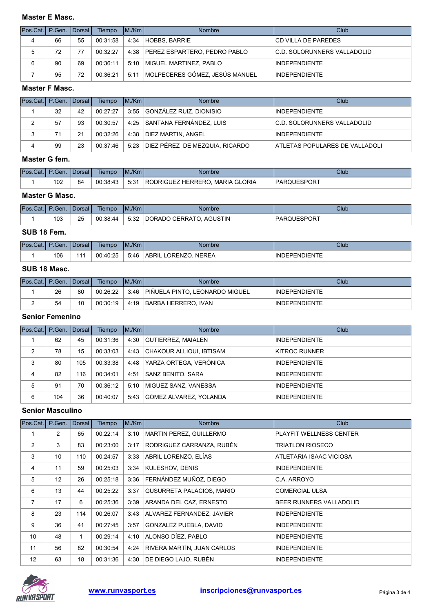# Master E Masc.

| Pos.Cat.   P.Gen.   Dorsal |    |    | Tiempo   | IM/Km | <b>Nombre</b>                         | Club                         |
|----------------------------|----|----|----------|-------|---------------------------------------|------------------------------|
| 4                          | 66 | 55 | 00:31:58 |       | 4:34 HOBBS, BARRIE                    | <b>CD VILLA DE PAREDES</b>   |
| 5                          | 72 | 77 | 00:32:27 |       | 4:38 PEREZ ESPARTERO, PEDRO PABLO     | IC.D. SOLORUNNERS VALLADOLID |
| 6                          | 90 | 69 | 00:36:11 |       | 5:10   MIGUEL MARTINEZ, PABLO         | <b>INDEPENDIENTE</b>         |
|                            | 95 | 72 | 00:36:21 |       | 5:11   MOLPECERES GÓMEZ, JESÚS MANUEL | <b>INDEPENDIENTE</b>         |

#### Master F Masc.

| Pos.Cat.   P.Gen.   Dorsal |    |    | Tiempo   | IM/Km | <b>Nombre</b>                  | Club                           |
|----------------------------|----|----|----------|-------|--------------------------------|--------------------------------|
|                            | 32 | 42 | 00:27:27 |       | 3:55 GONZÁLEZ RUIZ, DIONISIO   | <b>INDEPENDIENTE</b>           |
|                            | 57 | 93 | 00:30:57 | 4:25  | SANTANA FERNÁNDEZ, LUIS        | IC.D. SOLORUNNERS VALLADOLID   |
| 3                          | 71 | 21 | 00:32:26 | 4:38  | DIEZ MARTIN, ANGEL             | <b>INDEPENDIENTE</b>           |
|                            | 99 | 23 | 00:37:46 | 5:23  | DIEZ PÉREZ DE MEZQUIA, RICARDO | ATLETAS POPULARES DE VALLADOLI |

# Master G fem.

| <b>Pos.Cat.I P.Gen.</b> |                        | <b>I</b> Dorsal I | Tiempo   | M/Km | Nombre                          | Club        |
|-------------------------|------------------------|-------------------|----------|------|---------------------------------|-------------|
|                         | 10 <sup>o</sup><br>∣∪∠ | 84                | 00:38:43 | 5:31 | RODRIGUEZ HERRERO. MARIA GLORIA | PARQUESPORT |

#### Master G Masc.

| Pos.Cat.I | P.Gen.    | l Dorsal | Tiempo   | M/Km | Nombre                               | Club                |
|-----------|-----------|----------|----------|------|--------------------------------------|---------------------|
|           | 102<br>൛ാ | つに<br>ںے | 00:38:44 | 5:32 | <b>AGUSTIN</b><br>CERRATO.<br>DORADO | <b>IPARQUESPORT</b> |

# SUB 18 Fem.

| Pos.<br>Cat. I | 'Gen. | I Dorsal       | Tiempo   | M./Km | <b>Nombre</b>                                | Club                     |
|----------------|-------|----------------|----------|-------|----------------------------------------------|--------------------------|
|                | 106   | $\overline{A}$ | 00:40:25 | 5:46  | <b>NEREA</b><br>'ABRIL<br>ORENZ <sup>/</sup> | NIENTE<br>.INF<br>DEPENI |

# SUB 18 Masc.

| <b>IPos.Cat.I P.Gen. IDorsal I</b> |    |    | Tiempo   | IM/Km | <b>Nombre</b>                  | Club                 |
|------------------------------------|----|----|----------|-------|--------------------------------|----------------------|
|                                    | 26 | 80 | 00:26:22 | 3:46  | PIÑUELA PINTO, LEONARDO MIGUEL | <b>INDEPENDIENTE</b> |
|                                    | 54 | 10 | 00:30:19 | 4:19  | <b>BARBA HERRERO, IVAN</b>     | <b>INDEPENDIENTE</b> |

# Senior Femenino

| Pos.Cat. | P.Gen. Dorsal |     | Tiempo   | IM/Km | <b>Nombre</b>                   | Club                 |
|----------|---------------|-----|----------|-------|---------------------------------|----------------------|
|          | 62            | 45  | 00:31:36 | 4:30  | <b>GUTIERREZ, MAIALEN</b>       | <b>INDEPENDIENTE</b> |
| 2        | 78            | 15  | 00:33:03 | 4:43  | CHAKOUR ALLIOUI, IBTISAM        | KITROC RUNNER        |
| 3        | 80            | 105 | 00:33:38 | 4:48  | <u> IYARZA ORTEGA. VERÓNICA</u> | <b>INDEPENDIENTE</b> |
| 4        | 82            | 116 | 00:34:01 | 4:51  | <b>SANZ BENITO, SARA</b>        | <b>INDEPENDIENTE</b> |
| 5        | 91            | 70  | 00:36:12 | 5:10  | <b>IMIGUEZ SANZ, VANESSA</b>    | <b>INDEPENDIENTE</b> |
| 6        | 104           | 36  | 00:40:07 | 5:43  | GÓMEZ ÁLVAREZ. YOLANDA          | <b>INDEPENDIENTE</b> |

# Senior Masculino

| Pos.Cat.       | P.Gen.          | Dorsal | Tiempo   | M/Km | <b>Nombre</b>                    | Club                    |
|----------------|-----------------|--------|----------|------|----------------------------------|-------------------------|
| 1              | $\overline{2}$  | 65     | 00:22:14 | 3:10 | MARTIN PEREZ, GUILLERMO          | PLAYFIT WELLNESS CENTER |
| 2              | 3               | 83     | 00:23:00 | 3:17 | RODRIGUEZ CARRANZA, RUBÉN        | <b>TRIATLON RIOSECO</b> |
| 3              | 10 <sup>°</sup> | 110    | 00:24:57 | 3:33 | ABRIL LORENZO. ELÍAS             | ATLETARIA ISAAC VICIOSA |
| 4              | 11              | 59     | 00:25:03 | 3:34 | KULESHOV, DENIS                  | <b>INDEPENDIENTE</b>    |
| 5              | 12              | 26     | 00:25:18 | 3:36 | FERNÁNDEZ MUÑOZ, DIEGO           | C.A. ARROYO             |
| 6              | 13              | 44     | 00:25:22 | 3:37 | <b>GUSURRETA PALACIOS, MARIO</b> | <b>COMERCIAL ULSA</b>   |
| $\overline{7}$ | 17              | 6      | 00:25:36 | 3:39 | ARANDA DEL CAZ, ERNESTO          | BEER RUNNERS VALLADOLID |
| 8              | 23              | 114    | 00:26:07 | 3:43 | ALVAREZ FERNANDEZ, JAVIER        | <b>INDEPENDIENTE</b>    |
| 9              | 36              | 41     | 00:27:45 | 3:57 | GONZALEZ PUEBLA, DAVID           | <b>INDEPENDIENTE</b>    |
| 10             | 48              | 1      | 00:29:14 | 4:10 | ALONSO DÍEZ, PABLO               | <b>INDEPENDIENTE</b>    |
| 11             | 56              | 82     | 00:30:54 | 4:24 | RIVERA MARTÍN, JUAN CARLOS       | <b>INDEPENDIENTE</b>    |
| 12             | 63              | 18     | 00:31:36 | 4:30 | DE DIEGO LAJO, RUBÉN             | <b>INDEPENDIENTE</b>    |